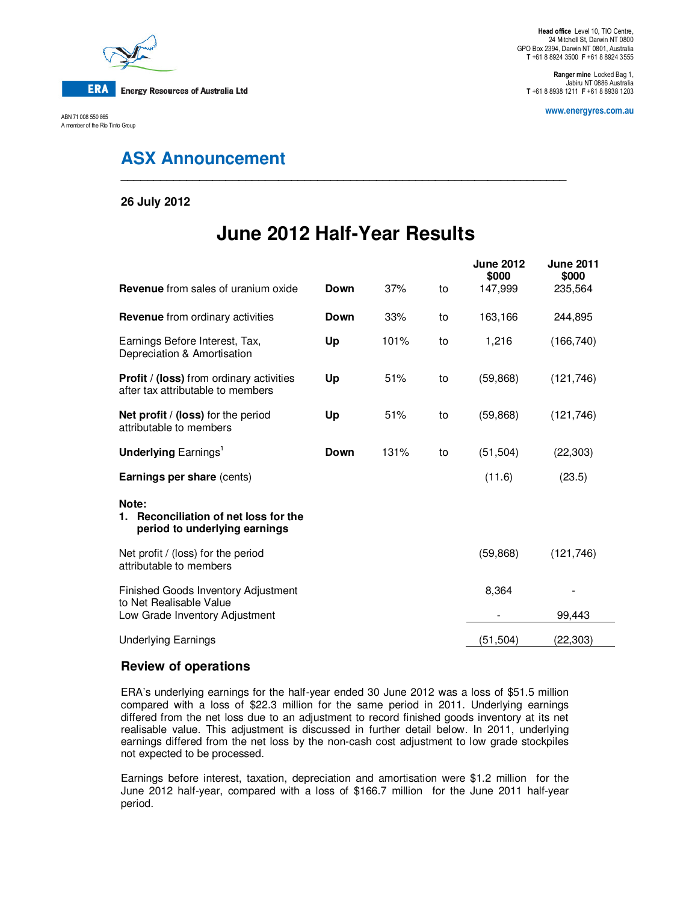

ABN 71 008 550 865 A member of the Rio Tinto Group

**Ranger mine** Locked Bag 1, Jabiru NT 0886 Australia **T** +61 8 8938 1211 **F** +61 8 8938 1203

**www.energyres.com.au** 

## **ASX Announcement**

**26 July 2012** 

# **June 2012 Half-Year Results**

**\_\_\_\_\_\_\_\_\_\_\_\_\_\_\_\_\_\_\_\_\_\_\_\_\_\_\_\_\_\_\_\_\_\_\_\_\_\_\_\_\_\_\_\_\_\_\_\_\_\_\_\_\_\_\_\_\_\_\_\_\_\_\_\_\_\_\_\_** 

| <b>Revenue</b> from sales of uranium oxide                                                       | Down | 37%  | to | <b>June 2012</b><br>\$000<br>147,999 | <b>June 2011</b><br>\$000<br>235,564 |  |
|--------------------------------------------------------------------------------------------------|------|------|----|--------------------------------------|--------------------------------------|--|
| <b>Revenue</b> from ordinary activities                                                          | Down | 33%  | to | 163,166                              | 244,895                              |  |
| Earnings Before Interest, Tax,<br>Depreciation & Amortisation                                    | Up   | 101% | to | 1,216                                | (166, 740)                           |  |
| <b>Profit / (loss)</b> from ordinary activities<br>after tax attributable to members             | Up   | 51%  | to | (59, 868)                            | (121, 746)                           |  |
| Net profit / (loss) for the period<br>attributable to members                                    | Up   | 51%  | to | (59, 868)                            | (121, 746)                           |  |
| <b>Underlying Earnings'</b>                                                                      | Down | 131% | to | (51, 504)                            | (22, 303)                            |  |
| <b>Earnings per share (cents)</b>                                                                |      |      |    | (11.6)                               | (23.5)                               |  |
| Note:<br>Reconciliation of net loss for the<br>1.<br>period to underlying earnings               |      |      |    |                                      |                                      |  |
| Net profit / (loss) for the period<br>attributable to members                                    |      |      |    | (59, 868)                            | (121, 746)                           |  |
| Finished Goods Inventory Adjustment<br>to Net Realisable Value<br>Low Grade Inventory Adjustment |      |      |    | 8,364                                | 99,443                               |  |
| <b>Underlying Earnings</b>                                                                       |      |      |    | (51, 504)                            | (22,303)                             |  |

## **Review of operations**

ERA's underlying earnings for the half-year ended 30 June 2012 was a loss of \$51.5 million compared with a loss of \$22.3 million for the same period in 2011. Underlying earnings differed from the net loss due to an adjustment to record finished goods inventory at its net realisable value. This adjustment is discussed in further detail below. In 2011, underlying earnings differed from the net loss by the non-cash cost adjustment to low grade stockpiles not expected to be processed.

Earnings before interest, taxation, depreciation and amortisation were \$1.2 million for the June 2012 half-year, compared with a loss of \$166.7 million for the June 2011 half-year period.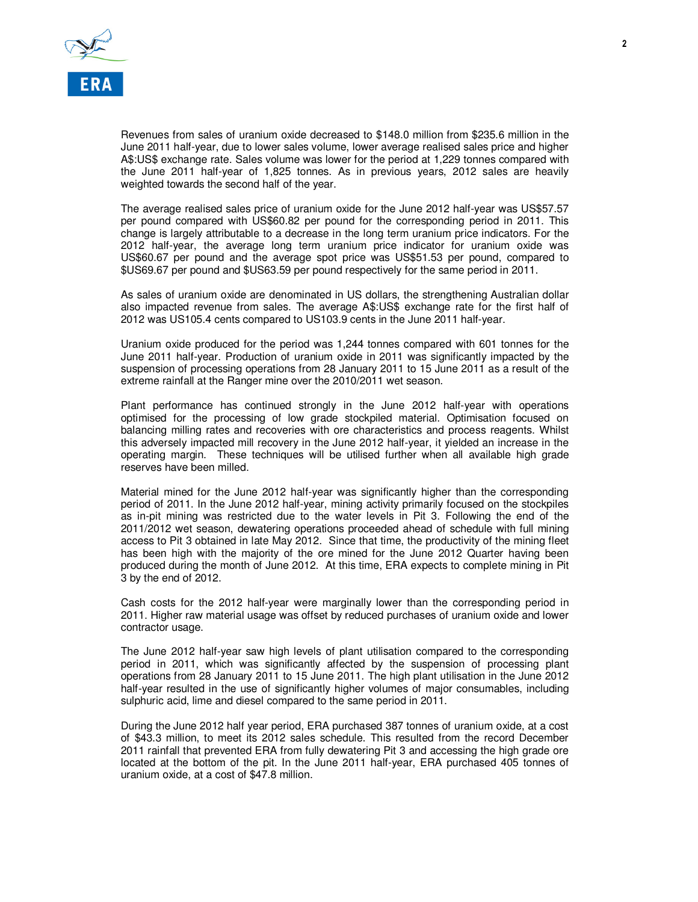

Revenues from sales of uranium oxide decreased to \$148.0 million from \$235.6 million in the June 2011 half-year, due to lower sales volume, lower average realised sales price and higher A\$:US\$ exchange rate. Sales volume was lower for the period at 1,229 tonnes compared with the June 2011 half-year of 1,825 tonnes. As in previous years, 2012 sales are heavily weighted towards the second half of the year.

The average realised sales price of uranium oxide for the June 2012 half-year was US\$57.57 per pound compared with US\$60.82 per pound for the corresponding period in 2011. This change is largely attributable to a decrease in the long term uranium price indicators. For the 2012 half-year, the average long term uranium price indicator for uranium oxide was US\$60.67 per pound and the average spot price was US\$51.53 per pound, compared to \$US69.67 per pound and \$US63.59 per pound respectively for the same period in 2011.

As sales of uranium oxide are denominated in US dollars, the strengthening Australian dollar also impacted revenue from sales. The average A\$:US\$ exchange rate for the first half of 2012 was US105.4 cents compared to US103.9 cents in the June 2011 half-year.

Uranium oxide produced for the period was 1,244 tonnes compared with 601 tonnes for the June 2011 half-year. Production of uranium oxide in 2011 was significantly impacted by the suspension of processing operations from 28 January 2011 to 15 June 2011 as a result of the extreme rainfall at the Ranger mine over the 2010/2011 wet season.

Plant performance has continued strongly in the June 2012 half-year with operations optimised for the processing of low grade stockpiled material. Optimisation focused on balancing milling rates and recoveries with ore characteristics and process reagents. Whilst this adversely impacted mill recovery in the June 2012 half-year, it yielded an increase in the operating margin. These techniques will be utilised further when all available high grade reserves have been milled.

Material mined for the June 2012 half-year was significantly higher than the corresponding period of 2011. In the June 2012 half-year, mining activity primarily focused on the stockpiles as in-pit mining was restricted due to the water levels in Pit 3. Following the end of the 2011/2012 wet season, dewatering operations proceeded ahead of schedule with full mining access to Pit 3 obtained in late May 2012. Since that time, the productivity of the mining fleet has been high with the majority of the ore mined for the June 2012 Quarter having been produced during the month of June 2012. At this time, ERA expects to complete mining in Pit 3 by the end of 2012.

Cash costs for the 2012 half-year were marginally lower than the corresponding period in 2011. Higher raw material usage was offset by reduced purchases of uranium oxide and lower contractor usage.

The June 2012 half-year saw high levels of plant utilisation compared to the corresponding period in 2011, which was significantly affected by the suspension of processing plant operations from 28 January 2011 to 15 June 2011. The high plant utilisation in the June 2012 half-year resulted in the use of significantly higher volumes of major consumables, including sulphuric acid, lime and diesel compared to the same period in 2011.

During the June 2012 half year period, ERA purchased 387 tonnes of uranium oxide, at a cost of \$43.3 million, to meet its 2012 sales schedule. This resulted from the record December 2011 rainfall that prevented ERA from fully dewatering Pit 3 and accessing the high grade ore located at the bottom of the pit. In the June 2011 half-year, ERA purchased 405 tonnes of uranium oxide, at a cost of \$47.8 million.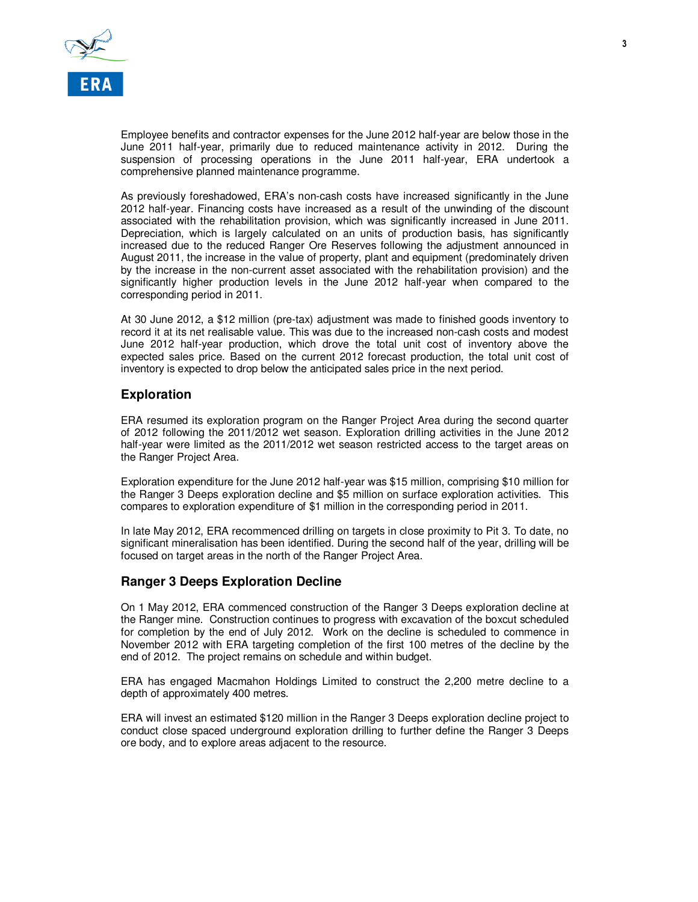

Employee benefits and contractor expenses for the June 2012 half-year are below those in the June 2011 half-year, primarily due to reduced maintenance activity in 2012. During the suspension of processing operations in the June 2011 half-year, ERA undertook a comprehensive planned maintenance programme.

As previously foreshadowed, ERA's non-cash costs have increased significantly in the June 2012 half-year. Financing costs have increased as a result of the unwinding of the discount associated with the rehabilitation provision, which was significantly increased in June 2011. Depreciation, which is largely calculated on an units of production basis, has significantly increased due to the reduced Ranger Ore Reserves following the adjustment announced in August 2011, the increase in the value of property, plant and equipment (predominately driven by the increase in the non-current asset associated with the rehabilitation provision) and the significantly higher production levels in the June 2012 half-year when compared to the corresponding period in 2011.

At 30 June 2012, a \$12 million (pre-tax) adjustment was made to finished goods inventory to record it at its net realisable value. This was due to the increased non-cash costs and modest June 2012 half-year production, which drove the total unit cost of inventory above the expected sales price. Based on the current 2012 forecast production, the total unit cost of inventory is expected to drop below the anticipated sales price in the next period.

### **Exploration**

ERA resumed its exploration program on the Ranger Project Area during the second quarter of 2012 following the 2011/2012 wet season. Exploration drilling activities in the June 2012 half-year were limited as the 2011/2012 wet season restricted access to the target areas on the Ranger Project Area.

Exploration expenditure for the June 2012 half-year was \$15 million, comprising \$10 million for the Ranger 3 Deeps exploration decline and \$5 million on surface exploration activities. This compares to exploration expenditure of \$1 million in the corresponding period in 2011.

In late May 2012, ERA recommenced drilling on targets in close proximity to Pit 3. To date, no significant mineralisation has been identified. During the second half of the year, drilling will be focused on target areas in the north of the Ranger Project Area.

#### **Ranger 3 Deeps Exploration Decline**

On 1 May 2012, ERA commenced construction of the Ranger 3 Deeps exploration decline at the Ranger mine. Construction continues to progress with excavation of the boxcut scheduled for completion by the end of July 2012. Work on the decline is scheduled to commence in November 2012 with ERA targeting completion of the first 100 metres of the decline by the end of 2012. The project remains on schedule and within budget.

ERA has engaged Macmahon Holdings Limited to construct the 2,200 metre decline to a depth of approximately 400 metres.

ERA will invest an estimated \$120 million in the Ranger 3 Deeps exploration decline project to conduct close spaced underground exploration drilling to further define the Ranger 3 Deeps ore body, and to explore areas adjacent to the resource.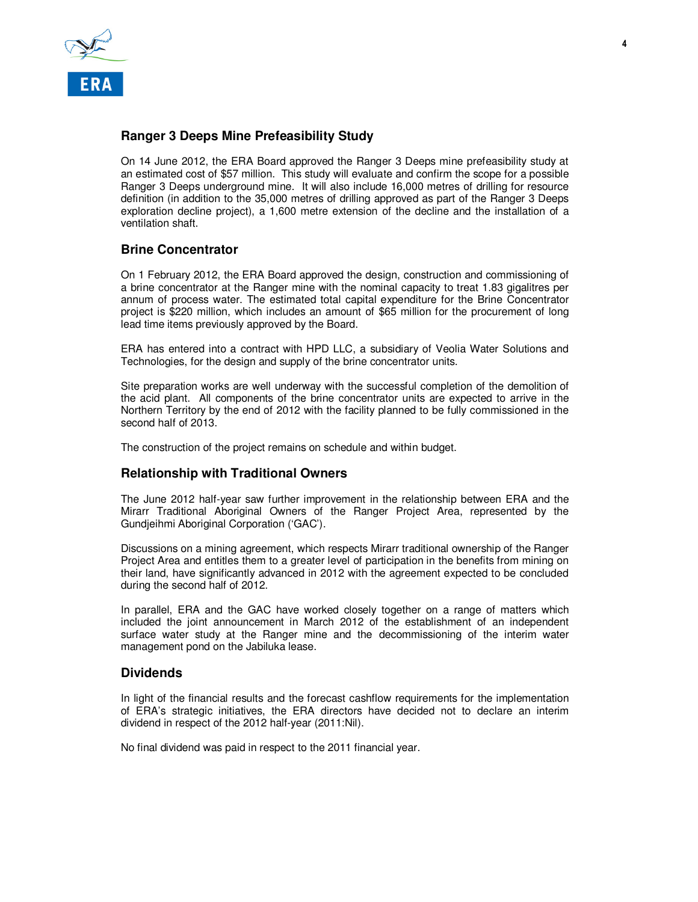

### **Ranger 3 Deeps Mine Prefeasibility Study**

On 14 June 2012, the ERA Board approved the Ranger 3 Deeps mine prefeasibility study at an estimated cost of \$57 million. This study will evaluate and confirm the scope for a possible Ranger 3 Deeps underground mine. It will also include 16,000 metres of drilling for resource definition (in addition to the 35,000 metres of drilling approved as part of the Ranger 3 Deeps exploration decline project), a 1,600 metre extension of the decline and the installation of a ventilation shaft.

### **Brine Concentrator**

On 1 February 2012, the ERA Board approved the design, construction and commissioning of a brine concentrator at the Ranger mine with the nominal capacity to treat 1.83 gigalitres per annum of process water. The estimated total capital expenditure for the Brine Concentrator project is \$220 million, which includes an amount of \$65 million for the procurement of long lead time items previously approved by the Board.

ERA has entered into a contract with HPD LLC, a subsidiary of Veolia Water Solutions and Technologies, for the design and supply of the brine concentrator units.

Site preparation works are well underway with the successful completion of the demolition of the acid plant. All components of the brine concentrator units are expected to arrive in the Northern Territory by the end of 2012 with the facility planned to be fully commissioned in the second half of 2013.

The construction of the project remains on schedule and within budget.

### **Relationship with Traditional Owners**

The June 2012 half-year saw further improvement in the relationship between ERA and the Mirarr Traditional Aboriginal Owners of the Ranger Project Area, represented by the Gundjeihmi Aboriginal Corporation ('GAC').

Discussions on a mining agreement, which respects Mirarr traditional ownership of the Ranger Project Area and entitles them to a greater level of participation in the benefits from mining on their land, have significantly advanced in 2012 with the agreement expected to be concluded during the second half of 2012.

In parallel, ERA and the GAC have worked closely together on a range of matters which included the joint announcement in March 2012 of the establishment of an independent surface water study at the Ranger mine and the decommissioning of the interim water management pond on the Jabiluka lease.

#### **Dividends**

In light of the financial results and the forecast cashflow requirements for the implementation of ERA's strategic initiatives, the ERA directors have decided not to declare an interim dividend in respect of the 2012 half-year (2011:Nil).

No final dividend was paid in respect to the 2011 financial year.